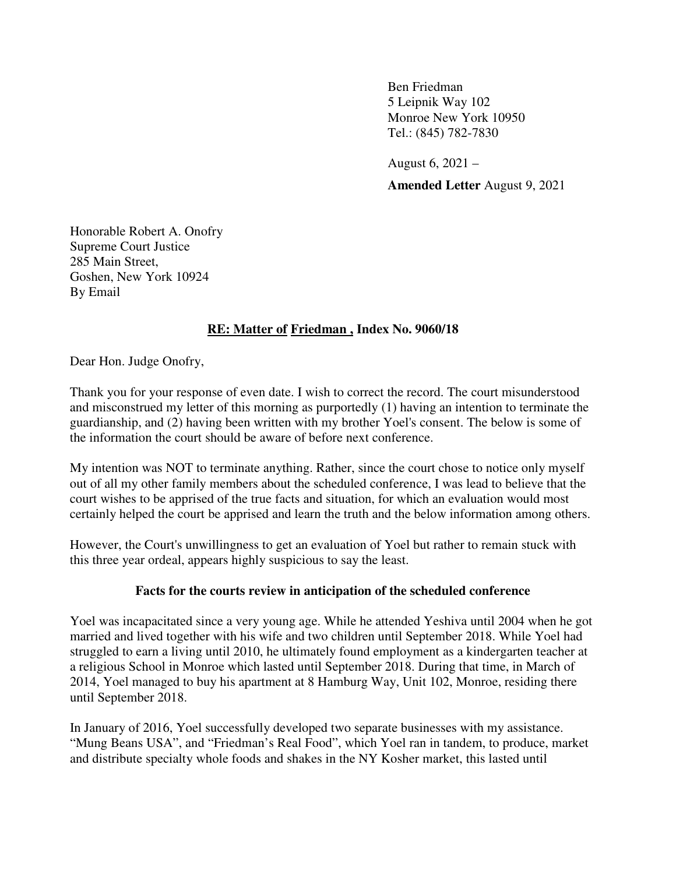Ben Friedman 5 Leipnik Way 102 Monroe New York 10950 Tel.: (845) 782-7830

 August 6, 2021 – **Amended Letter** August 9, 2021

Honorable Robert A. Onofry Supreme Court Justice 285 Main Street, Goshen, New York 10924 By Email

## **RE: Matter of Friedman , Index No. 9060/18**

Dear Hon. Judge Onofry,

Thank you for your response of even date. I wish to correct the record. The court misunderstood and misconstrued my letter of this morning as purportedly (1) having an intention to terminate the guardianship, and (2) having been written with my brother Yoel's consent. The below is some of the information the court should be aware of before next conference.

My intention was NOT to terminate anything. Rather, since the court chose to notice only myself out of all my other family members about the scheduled conference, I was lead to believe that the court wishes to be apprised of the true facts and situation, for which an evaluation would most certainly helped the court be apprised and learn the truth and the below information among others.

However, the Court's unwillingness to get an evaluation of Yoel but rather to remain stuck with this three year ordeal, appears highly suspicious to say the least.

## **Facts for the courts review in anticipation of the scheduled conference**

Yoel was incapacitated since a very young age. While he attended Yeshiva until 2004 when he got married and lived together with his wife and two children until September 2018. While Yoel had struggled to earn a living until 2010, he ultimately found employment as a kindergarten teacher at a religious School in Monroe which lasted until September 2018. During that time, in March of 2014, Yoel managed to buy his apartment at 8 Hamburg Way, Unit 102, Monroe, residing there until September 2018.

In January of 2016, Yoel successfully developed two separate businesses with my assistance. "Mung Beans USA", and "Friedman's Real Food", which Yoel ran in tandem, to produce, market and distribute specialty whole foods and shakes in the NY Kosher market, this lasted until